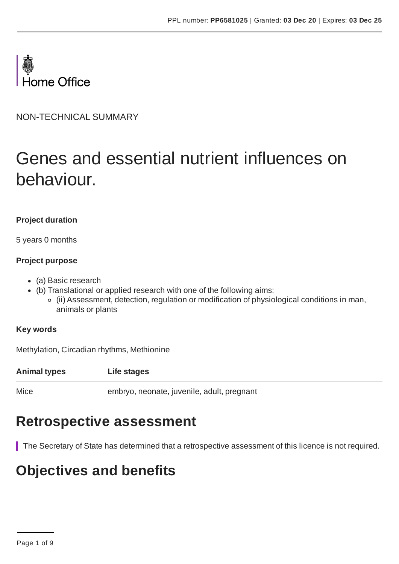

NON-TECHNICAL SUMMARY

# Genes and essential nutrient influences on behaviour.

#### **Project duration**

5 years 0 months

#### **Project purpose**

- (a) Basic research
- (b) Translational or applied research with one of the following aims:
	- (ii) Assessment, detection, regulation or modification of physiological conditions in man, animals or plants

#### **Key words**

Methylation, Circadian rhythms, Methionine

**Animal types Life stages**

Mice embryo, neonate, juvenile, adult, pregnant

## **Retrospective assessment**

The Secretary of State has determined that a retrospective assessment of this licence is not required.

# **Objectives and benefits**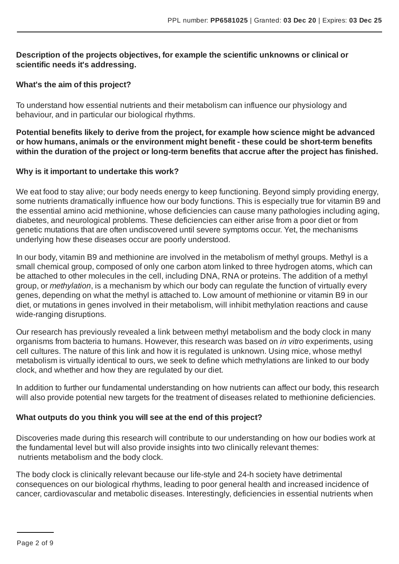#### **Description of the projects objectives, for example the scientific unknowns or clinical or scientific needs it's addressing.**

#### **What's the aim of this project?**

To understand how essential nutrients and their metabolism can influence our physiology and behaviour, and in particular our biological rhythms.

**Potential benefits likely to derive from the project, for example how science might be advanced or how humans, animals or the environment might benefit - these could be short-term benefits within the duration of the project or long-term benefits that accrue after the project has finished.**

#### **Why is it important to undertake this work?**

We eat food to stay alive; our body needs energy to keep functioning. Beyond simply providing energy, some nutrients dramatically influence how our body functions. This is especially true for vitamin B9 and the essential amino acid methionine, whose deficiencies can cause many pathologies including aging, diabetes, and neurological problems. These deficiencies can either arise from a poor diet or from genetic mutations that are often undiscovered until severe symptoms occur. Yet, the mechanisms underlying how these diseases occur are poorly understood.

In our body, vitamin B9 and methionine are involved in the metabolism of methyl groups. Methyl is a small chemical group, composed of only one carbon atom linked to three hydrogen atoms, which can be attached to other molecules in the cell, including DNA, RNA or proteins. The addition of a methyl group, or *methylation*, is a mechanism by which our body can regulate the function of virtually every genes, depending on what the methyl is attached to. Low amount of methionine or vitamin B9 in our diet, or mutations in genes involved in their metabolism, will inhibit methylation reactions and cause wide-ranging disruptions.

Our research has previously revealed a link between methyl metabolism and the body clock in many organisms from bacteria to humans. However, this research was based on *in vitro* experiments, using cell cultures. The nature of this link and how it is regulated is unknown. Using mice, whose methyl metabolism is virtually identical to ours, we seek to define which methylations are linked to our body clock, and whether and how they are regulated by our diet.

In addition to further our fundamental understanding on how nutrients can affect our body, this research will also provide potential new targets for the treatment of diseases related to methionine deficiencies.

### **What outputs do you think you will see at the end of this project?**

Discoveries made during this research will contribute to our understanding on how our bodies work at the fundamental level but will also provide insights into two clinically relevant themes: nutrients metabolism and the body clock.

The body clock is clinically relevant because our life-style and 24-h society have detrimental consequences on our biological rhythms, leading to poor general health and increased incidence of cancer, cardiovascular and metabolic diseases. Interestingly, deficiencies in essential nutrients when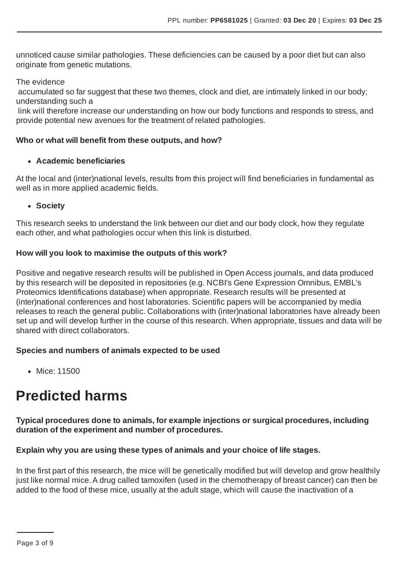unnoticed cause similar pathologies. These deficiencies can be caused by a poor diet but can also originate from genetic mutations.

The evidence

accumulated so far suggest that these two themes, clock and diet, are intimately linked in our body; understanding such a

link will therefore increase our understanding on how our body functions and responds to stress, and provide potential new avenues for the treatment of related pathologies.

#### **Who or what will benefit from these outputs, and how?**

#### **Academic beneficiaries**

At the local and (inter)national levels, results from this project will find beneficiaries in fundamental as well as in more applied academic fields.

**Society**

This research seeks to understand the link between our diet and our body clock, how they regulate each other, and what pathologies occur when this link is disturbed.

#### **How will you look to maximise the outputs of this work?**

Positive and negative research results will be published in Open Access journals, and data produced by this research will be deposited in repositories (e.g. NCBI's Gene Expression Omnibus, EMBL's Proteomics Identifications database) when appropriate. Research results will be presented at (inter)national conferences and host laboratories. Scientific papers will be accompanied by media releases to reach the general public. Collaborations with (inter)national laboratories have already been set up and will develop further in the course of this research. When appropriate, tissues and data will be shared with direct collaborators.

#### **Species and numbers of animals expected to be used**

• Mice: 11500

# **Predicted harms**

#### **Typical procedures done to animals, for example injections or surgical procedures, including duration of the experiment and number of procedures.**

#### **Explain why you are using these types of animals and your choice of life stages.**

In the first part of this research, the mice will be genetically modified but will develop and grow healthily just like normal mice. A drug called tamoxifen (used in the chemotherapy of breast cancer) can then be added to the food of these mice, usually at the adult stage, which will cause the inactivation of a

Page 3 of 9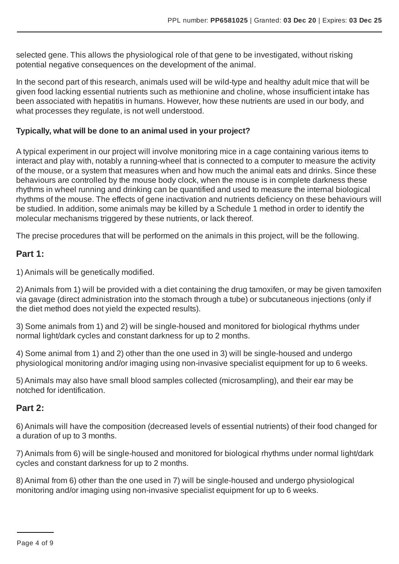selected gene. This allows the physiological role of that gene to be investigated, without risking potential negative consequences on the development of the animal.

In the second part of this research, animals used will be wild-type and healthy adult mice that will be given food lacking essential nutrients such as methionine and choline, whose insufficient intake has been associated with hepatitis in humans. However, how these nutrients are used in our body, and what processes they regulate, is not well understood.

#### **Typically, what will be done to an animal used in your project?**

A typical experiment in our project will involve monitoring mice in a cage containing various items to interact and play with, notably a running-wheel that is connected to a computer to measure the activity of the mouse, or a system that measures when and how much the animal eats and drinks. Since these behaviours are controlled by the mouse body clock, when the mouse is in complete darkness these rhythms in wheel running and drinking can be quantified and used to measure the internal biological rhythms of the mouse. The effects of gene inactivation and nutrients deficiency on these behaviours will be studied. In addition, some animals may be killed by a Schedule 1 method in order to identify the molecular mechanisms triggered by these nutrients, or lack thereof.

The precise procedures that will be performed on the animals in this project, will be the following.

### **Part 1:**

1) Animals will be genetically modified.

2) Animals from 1) will be provided with a diet containing the drug tamoxifen, or may be given tamoxifen via gavage (direct administration into the stomach through a tube) or subcutaneous injections (only if the diet method does not yield the expected results).

3) Some animals from 1) and 2) will be single-housed and monitored for biological rhythms under normal light/dark cycles and constant darkness for up to 2 months.

4) Some animal from 1) and 2) other than the one used in 3) will be single-housed and undergo physiological monitoring and/or imaging using non-invasive specialist equipment for up to 6 weeks.

5) Animals may also have small blood samples collected (microsampling), and their ear may be notched for identification.

### **Part 2:**

6) Animals will have the composition (decreased levels of essential nutrients) of their food changed for a duration of up to 3 months.

7) Animals from 6) will be single-housed and monitored for biological rhythms under normal light/dark cycles and constant darkness for up to 2 months.

8) Animal from 6) other than the one used in 7) will be single-housed and undergo physiological monitoring and/or imaging using non-invasive specialist equipment for up to 6 weeks.

Page 4 of 9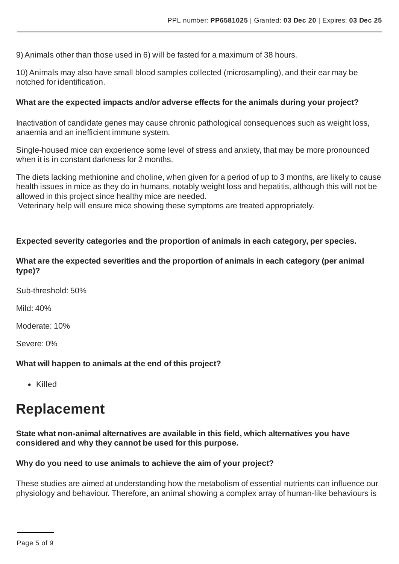9) Animals other than those used in 6) will be fasted for a maximum of 38 hours.

10) Animals may also have small blood samples collected (microsampling), and their ear may be notched for identification.

#### **What are the expected impacts and/or adverse effects for the animals during your project?**

Inactivation of candidate genes may cause chronic pathological consequences such as weight loss, anaemia and an inefficient immune system.

Single-housed mice can experience some level of stress and anxiety, that may be more pronounced when it is in constant darkness for 2 months.

The diets lacking methionine and choline, when given for a period of up to 3 months, are likely to cause health issues in mice as they do in humans, notably weight loss and hepatitis, although this will not be allowed in this project since healthy mice are needed.

Veterinary help will ensure mice showing these symptoms are treated appropriately.

#### **Expected severity categories and the proportion of animals in each category, per species.**

#### **What are the expected severities and the proportion of animals in each category (per animal type)?**

Sub-threshold: 50%

Mild: 40%

Moderate: 10%

Severe: 0%

#### **What will happen to animals at the end of this project?**

Killed

# **Replacement**

#### **State what non-animal alternatives are available in this field, which alternatives you have considered and why they cannot be used for this purpose.**

#### **Why do you need to use animals to achieve the aim of your project?**

These studies are aimed at understanding how the metabolism of essential nutrients can influence our physiology and behaviour. Therefore, an animal showing a complex array of human-like behaviours is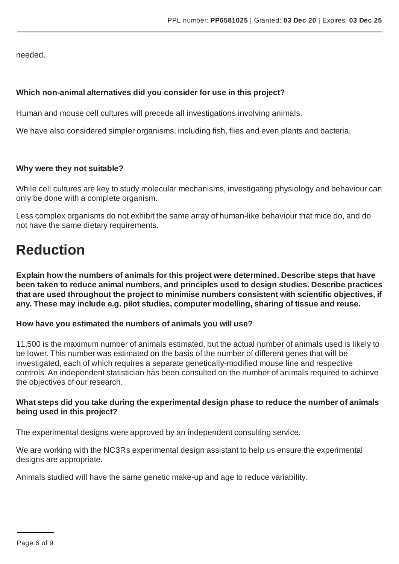needed.

#### **Which non-animal alternatives did you consider for use in this project?**

Human and mouse cell cultures will precede all investigations involving animals.

We have also considered simpler organisms, including fish, flies and even plants and bacteria.

#### **Why were they not suitable?**

While cell cultures are key to study molecular mechanisms, investigating physiology and behaviour can only be done with a complete organism.

Less complex organisms do not exhibit the same array of human-like behaviour that mice do, and do not have the same dietary requirements.

# **Reduction**

**Explain how the numbers of animals for this project were determined. Describe steps that have been taken to reduce animal numbers, and principles used to design studies. Describe practices that are used throughout the project to minimise numbers consistent with scientific objectives, if any. These may include e.g. pilot studies, computer modelling, sharing of tissue and reuse.**

#### **How have you estimated the numbers of animals you will use?**

11,500 is the maximum number of animals estimated, but the actual number of animals used is likely to be lower. This number was estimated on the basis of the number of different genes that will be investigated, each of which requires a separate genetically-modified mouse line and respective controls.An independent statistician has been consulted on the number of animals required to achieve the objectives of our research.

#### **What steps did you take during the experimental design phase to reduce the number of animals being used in this project?**

The experimental designs were approved by an independent consulting service.

We are working with the NC3Rs experimental design assistant to help us ensure the experimental designs are appropriate.

Animals studied will have the same genetic make-up and age to reduce variability.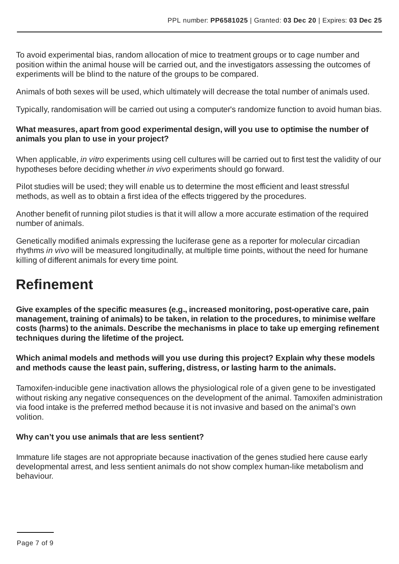To avoid experimental bias, random allocation of mice to treatment groups or to cage number and position within the animal house will be carried out, and the investigators assessing the outcomes of experiments will be blind to the nature of the groups to be compared.

Animals of both sexes will be used, which ultimately will decrease the total number of animals used.

Typically, randomisation will be carried out using a computer's randomize function to avoid human bias.

#### **What measures, apart from good experimental design, will you use to optimise the number of animals you plan to use in your project?**

When applicable, *in vitro* experiments using cell cultures will be carried out to first test the validity of our hypotheses before deciding whether *in vivo* experiments should go forward.

Pilot studies will be used; they will enable us to determine the most efficient and least stressful methods, as well as to obtain a first idea of the effects triggered by the procedures.

Another benefit of running pilot studies is that it will allow a more accurate estimation of the required number of animals.

Genetically modified animals expressing the luciferase gene as a reporter for molecular circadian rhythms *in vivo* will be measured longitudinally, at multiple time points, without the need for humane killing of different animals for every time point.

# **Refinement**

**Give examples of the specific measures (e.g., increased monitoring, post-operative care, pain management, training of animals) to be taken, in relation to the procedures, to minimise welfare costs (harms) to the animals. Describe the mechanisms in place to take up emerging refinement techniques during the lifetime of the project.**

**Which animal models and methods will you use during this project? Explain why these models and methods cause the least pain, suffering, distress, or lasting harm to the animals.**

Tamoxifen-inducible gene inactivation allows the physiological role of a given gene to be investigated without risking any negative consequences on the development of the animal. Tamoxifen administration via food intake is the preferred method because it is not invasive and based on the animal's own volition.

#### **Why can't you use animals that are less sentient?**

Immature life stages are not appropriate because inactivation of the genes studied here cause early developmental arrest, and less sentient animals do not show complex human-like metabolism and behaviour.

Page 7 of 9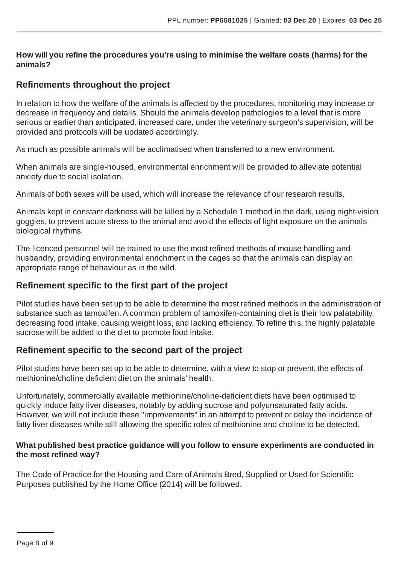**How will you refine the procedures you're using to minimise the welfare costs (harms) for the animals?**

### **Refinements throughout the project**

In relation to how the welfare of the animals is affected by the procedures, monitoring may increase or decrease in frequency and details. Should the animals develop pathologies to a level that is more serious or earlier than anticipated, increased care, under the veterinary surgeon's supervision, will be provided and protocols will be updated accordingly.

As much as possible animals will be acclimatised when transferred to a new environment.

When animals are single-housed, environmental enrichment will be provided to alleviate potential anxiety due to social isolation.

Animals of both sexes will be used, which will increase the relevance of our research results.

Animals kept in constant darkness will be killed by a Schedule 1 method in the dark, using night-vision goggles, to prevent acute stress to the animal and avoid the effects of light exposure on the animals biological rhythms.

The licenced personnel will be trained to use the most refined methods of mouse handling and husbandry, providing environmental enrichment in the cages so that the animals can display an appropriate range of behaviour as in the wild.

### **Refinement specific to the first part of the project**

Pilot studies have been set up to be able to determine the most refined methods in the administration of substance such as tamoxifen. A common problem of tamoxifen-containing diet is their low palatability, decreasing food intake, causing weight loss, and lacking efficiency. To refine this, the highly palatable sucrose will be added to the diet to promote food intake.

### **Refinement specific to the second part of the project**

Pilot studies have been set up to be able to determine, with a view to stop or prevent, the effects of methionine/choline deficient diet on the animals' health.

Unfortunately, commercially available methionine/choline-deficient diets have been optimised to quickly induce fatty liver diseases, notably by adding sucrose and polyunsaturated fatty acids. However, we will not include these "improvements" in an attempt to prevent or delay the incidence of fatty liver diseases while still allowing the specific roles of methionine and choline to be detected.

#### **What published best practice guidance will you follow to ensure experiments are conducted in the most refined way?**

The Code of Practice for the Housing and Care ofAnimals Bred, Supplied or Used for Scientific Purposes published by the Home Office (2014) will be followed.